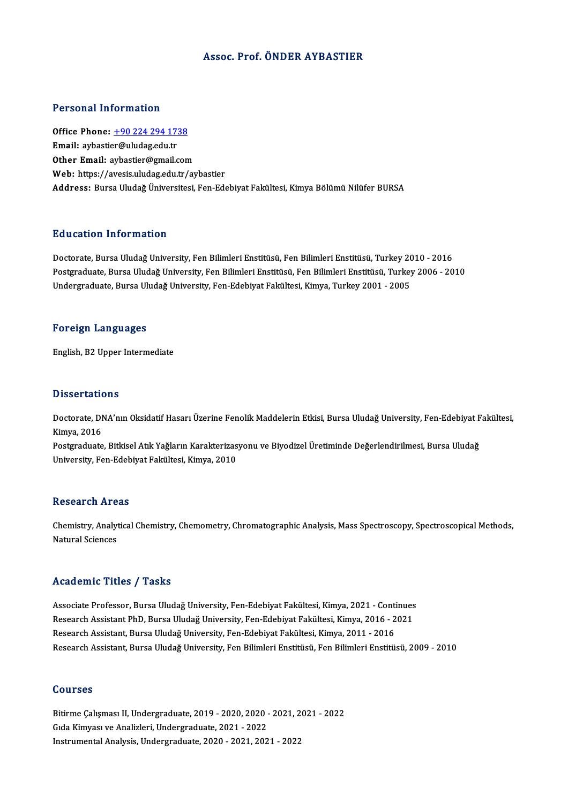### Assoc. Prof. ÖNDER AYBASTIER

### Personal Information

Personal Information<br>Office Phone: <u>+90 224 294 1738</u><br>Email: arhastior@uludas.edu.tr Tereoria: 11101 matemat<br>Office Phone: <u>+90 224 294 17:</u><br>Email: aybasti[er@uludag.edu.tr](tel:+90 224 294 1738) Email: aybastier@uludag.edu.tr<br>Other Email: aybastier@gmail.com Web: https://avesis.uludag.edu.tr/aybastier Address: Bursa Uludağ Üniversitesi, Fen-Edebiyat Fakültesi, Kimya Bölümü Nilüfer BURSA

### Education Information

Doctorate, Bursa Uludağ University, Fen Bilimleri Enstitüsü, Fen Bilimleri Enstitüsü, Turkey 2010 - 2016 Pu u sutrom minominusion<br>Doctorate, Bursa Uludağ University, Fen Bilimleri Enstitüsü, Fen Bilimleri Enstitüsü, Turkey 2010 - 2016<br>Postgraduate, Bursa Uludağ University, Fen Bilimleri Enstitüsü, Fen Bilimleri Enstitüsü, Tur Doctorate, Bursa Uludağ University, Fen Bilimleri Enstitüsü, Fen Bilimleri Enstitüsü, Turkey 20<br>Postgraduate, Bursa Uludağ University, Fen Bilimleri Enstitüsü, Fen Bilimleri Enstitüsü, Turkey<br>Undergraduate, Bursa Uludağ Un Undergraduate, Bursa Uludağ University, Fen-Edebiyat Fakültesi, Kimya, Turkey 2001 - 2005<br>Foreign Languages

English,B2Upper Intermediate

### **Dissertations**

**Dissertations**<br>Doctorate, DNA'nın Oksidatif Hasarı Üzerine Fenolik Maddelerin Etkisi, Bursa Uludağ University, Fen-Edebiyat Fakültesi,<br>Kimya, 2016 Basser caerd<br>Doctorate, DI<br>Kimya, 2016<br>Bostaraduate Doctorate, DNA'nın Oksidatif Hasarı Üzerine Fenolik Maddelerin Etkisi, Bursa Uludağ University, Fen-Edebiyat F<br>Kimya, 2016<br>Postgraduate, Bitkisel Atık Yağların Karakterizasyonu ve Biyodizel Üretiminde Değerlendirilmesi, Bu

Kimya, 2016<br>Postgraduate, Bitkisel Atık Yağların Karakterizasyonu ve Biyodizel Üretiminde Değerlendirilmesi, Bursa Uludağ<br>University, Fen-Edebiyat Fakültesi, Kimya, 2010

### **Research Areas**

Research Areas<br>Chemistry, Analytical Chemistry, Chemometry, Chromatographic Analysis, Mass Spectroscopy, Spectroscopical Methods,<br>Natural Sciences Nebeur en 111 e<br>Chemistry, Analy<br>Natural Sciences Natural Sciences<br>Academic Titles / Tasks

Associate Professor, Bursa Uludağ University, Fen-Edebiyat Fakültesi, Kimya, 2021 - Continues rseauenne Treres 7 Tuens<br>Associate Professor, Bursa Uludağ University, Fen-Edebiyat Fakültesi, Kimya, 2021 - Continues<br>Research Assistant PhD, Bursa Uludağ University, Fen-Edebiyat Fakültesi, Kimya, 2016 - 2021<br>Besearch As Associate Professor, Bursa Uludağ University, Fen-Edebiyat Fakültesi, Kimya, 2021 - Conti<br>Research Assistant PhD, Bursa Uludağ University, Fen-Edebiyat Fakültesi, Kimya, 2016 - 2<br>Research Assistant, Bursa Uludağ University Research Assistant, Bursa Uludağ University, Fen-Edebiyat Fakültesi, Kimya, 2011 - 2016<br>Research Assistant, Bursa Uludağ University, Fen Bilimleri Enstitüsü, Fen Bilimleri Enstitüsü, 2009 - 2010

### Courses

Courses<br>Bitirme Çalışması II, Undergraduate, 2019 - 2020, 2020 - 2021, 2021 - 2022<br>Cida Kimuası ve Analipleri, Undergraduata, 2021 - 2022 Sourses<br>Bitirme Çalışması II, Undergraduate, 2019 - 2020, 2020 -<br>Gıda Kimyası ve Analizleri, Undergraduate, 2021 - 2022<br>Instrumental Analysis, Undergraduate, 2020, -2021-202 Bitirme Çalışması II, Undergraduate, 2019 - 2020, 2020 - 2021, 2<br>Gıda Kimyası ve Analizleri, Undergraduate, 2021 - 2022<br>Instrumental Analysis, Undergraduate, 2020 - 2021, 2021 - 2022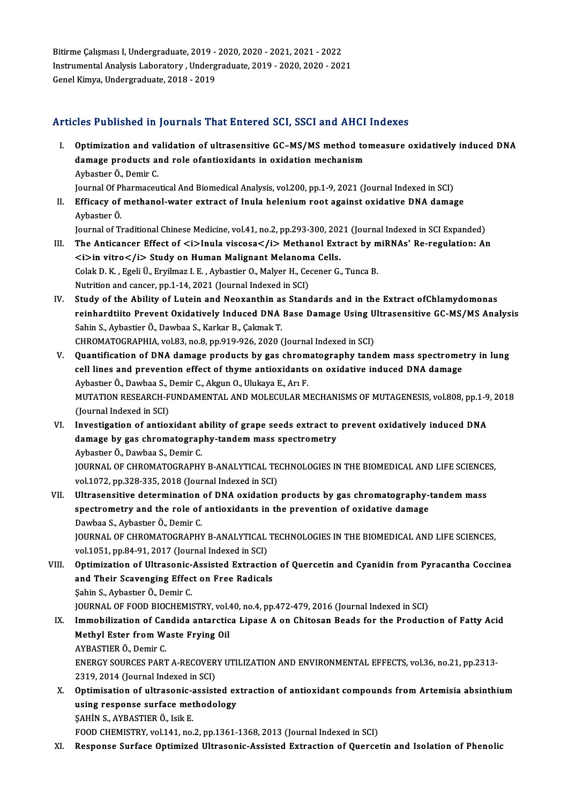Bitirme Çalışması I, Undergraduate, 2019 - 2020, 2020 - 2021, 2021 - 2022<br>Instrumental Analysis Laberstery, Undergraduate, 2019, 2020, 2020, 2022 Bitirme Çalışması I, Undergraduate, 2019 - 2020, 2020 - 2021, 2021 - 2022<br>Instrumental Analysis Laboratory , Undergraduate, 2019 - 2020, 2020 - 2021<br>Canel Kimya, Undergraduate, 2019, ... 2010 Bitirme Çalışması I, Undergraduate, 2019 -<br>Instrumental Analysis Laboratory , Underg<br>Genel Kimya, Undergraduate, 2018 - 2019

# Genel Kimya, Undergraduate, 2018 - 2019<br>Articles Published in Journals That Entered SCI, SSCI and AHCI Indexes

rticles Published in Journals That Entered SCI, SSCI and AHCI Indexes<br>I. Optimization and validation of ultrasensitive GC–MS/MS method tomeasure oxidatively induced DNA<br>damage products and rele of antioxidants in exidation ded Tublished in Journals That Enter on 991, 9991 and 11191<br>Optimization and validation of ultrasensitive GC–MS/MS method to<br>damage products and role ofantioxidants in oxidation mechanism Optimization and va<br>damage products al<br>Aybastıer Ö., Demir C.<br>Journal Of Pharmageu damage products and role ofantioxidants in oxidation mechanism<br>Aybastier Ö., Demir C.<br>Journal Of Pharmaceutical And Biomedical Analysis, vol.200, pp.1-9, 2021 (Journal Indexed in SCI)

Aybastier Ö., Demir C.<br>Journal Of Pharmaceutical And Biomedical Analysis, vol.200, pp.1-9, 2021 (Journal Indexed in SCI)<br>II. Efficacy of methanol-water extract of Inula helenium root against oxidative DNA damage<br>Aybastion Journal Of P<br>**Efficacy of**<br>Aybastıer Ö.<br>Journal of T Efficacy of methanol-water extract of Inula helenium root against oxidative DNA damage<br>Aybastıer Ö.<br>Journal of Traditional Chinese Medicine, vol.41, no.2, pp.293-300, 2021 (Journal Indexed in SCI Expanded)<br>The Antisenser E

Journal of Traditional Chinese Medicine, vol.41, no.2, pp.293-300, 2021 (Journal Indexed in SCI Expanded)

- Aybastıer Ö.<br>Journal of Traditional Chinese Medicine, vol.41, no.2, pp.293-300, 2021 (Journal Indexed in SCI Expanded)<br>III. The Anticancer Effect of <i>Inula viscosa</i> Methanol Extract by miRNAs' Re-regulation: An<br><i>in The Anticancer Effect of <i>Inula viscosa</i> Methanol Extract by m<br><i>in vitro</i> Study on Human Malignant Melanoma Cells.<br>Colak D.K., Egeli Ü., Eryilmaz I. E., Aybastier O., Malyer H., Cecener G., Tunca B.<br>Nutrition and <i>in vitro</i> Study on Human Malignant Melanom:<br>Colak D. K. , Egeli Ü., Eryilmaz I. E. , Aybastier O., Malyer H., Ce<br>Nutrition and cancer, pp.1-14, 2021 (Journal Indexed in SCI)<br>Study of the Ability of Lutein and Neoven
- Nutrition and cancer, pp.1-14, 2021 (Journal Indexed in SCI)<br>IV. Study of the Ability of Lutein and Neoxanthin as Standards and in the Extract ofChlamydomonas Nutrition and cancer, pp.1-14, 2021 (Journal Indexed in SCI)<br>Study of the Ability of Lutein and Neoxanthin as Standards and in the Extract ofChlamydomonas<br>reinhardtiito Prevent Oxidatively Induced DNA Base Damage Using Ult Study of the Ability of Lutein and Neoxanthin as<br>reinhardtiito Prevent Oxidatively Induced DNA<br>Sahin S., Aybastier Ö., Dawbaa S., Karkar B., Çakmak T.<br>CHROMATOCRARHIA vol 82 no 8 np 919 926 2020 ( reinhardtiito Prevent Oxidatively Induced DNA Base Damage Using U<br>Sahin S., Aybastier Ö., Dawbaa S., Karkar B., Çakmak T.<br>CHROMATOGRAPHIA, vol.83, no.8, pp.919-926, 2020 (Journal Indexed in SCI)<br>Quantification of DNA damag Sahin S., Aybastier Ö., Dawbaa S., Karkar B., Çakmak T.<br>CHROMATOGRAPHIA, vol.83, no.8, pp.919-926, 2020 (Journal Indexed in SCI)<br>V. Quantification of DNA damage products by gas chromatography tandem mass spectrometry i

- CHROMATOGRAPHIA, vol.83, no.8, pp.919-926, 2020 (Journal Indexed in SCI)<br>Quantification of DNA damage products by gas chromatography tandem mass spectrome<br>cell lines and prevention effect of thyme antioxidants on oxidative Quantification of DNA damage products by gas chrom<br>cell lines and prevention effect of thyme antioxidants<br>Aybastıer Ö., Dawbaa S., Demir C., Akgun O., Ulukaya E., Arı F.<br>MUTATION PESEARCH EUNDAMENTAL AND MOLECULAR M cell lines and prevention effect of thyme antioxidants on oxidative induced DNA damage<br>Aybastıer Ö., Dawbaa S., Demir C., Akgun O., Ulukaya E., Arı F.<br>MUTATION RESEARCH-FUNDAMENTAL AND MOLECULAR MECHANISMS OF MUTAGENESIS, Aybastıer Ö., Dawbaa S., Demir C., Akgun O., Ulukaya E., Arı F.<br>MUTATION RESEARCH-FUNDAMENTAL AND MOLECULAR MECHANISMS OF MUTAGENESIS, vol.808, pp.1-9<br>(Journal Indexed in SCI)<br>VI. Investigation of antioxidant ability o MUTATION RESEARCH-FUNDAMENTAL AND MOLECULAR MECHANISMS OF MUTAGENESIS, vol.808, pp.1-9<br>(Journal Indexed in SCI)<br>VI. Investigation of antioxidant ability of grape seeds extract to prevent oxidatively induced DNA<br>damage by g
- damage by gas chromatography-tandem mass spectrometry AybastıerÖ.,Dawbaa S.,Demir C. damage by gas chromatography-tandem mass spectrometry<br>Aybastier Ö., Dawbaa S., Demir C.<br>JOURNAL OF CHROMATOGRAPHY B-ANALYTICAL TECHNOLOGIES IN THE BIOMEDICAL AND LIFE SCIENCES,<br>vol.1.072, pp.228, 225, 2018 (Journal Indoved Aybastıer Ö., Dawbaa S., Demir C.<br>JOURNAL OF CHROMATOGRAPHY B-ANALYTICAL TE<br>vol.1072, pp.328-335, 2018 (Journal Indexed in SCI)<br>Illtresensitive determination of DNA exidation JOURNAL OF CHROMATOGRAPHY B-ANALYTICAL TECHNOLOGIES IN THE BIOMEDICAL AND LIFE SCIENCE<br>vol.1072, pp.328-335, 2018 (Journal Indexed in SCI)<br>VII. Ultrasensitive determination of DNA oxidation products by gas chromatography-t
- vol.1072, pp.328-335, 2018 (Journal Indexed in SCI)<br>Ultrasensitive determination of DNA oxidation products by gas chromatography-<br>spectrometry and the role of antioxidants in the prevention of oxidative damage<br>Paubes S. Ay Ultrasensitive determination<br>spectrometry and the role of<br>Dawbaa S., Aybastıer Ö., Demir C.<br>JOUPMAL OF CHROMATOCRAPHY spectrometry and the role of antioxidants in the prevention of oxidative damage<br>Dawbaa S., Aybastier Ö., Demir C.<br>JOURNAL OF CHROMATOGRAPHY B-ANALYTICAL TECHNOLOGIES IN THE BIOMEDICAL AND LIFE SCIENCES,<br>vol.1051, pp.84.91. Dawbaa S., Aybastıer Ö., Demir C.<br>JOURNAL OF CHROMATOGRAPHY B-ANALYTICAL<br>vol.1051, pp.84-91, 2017 (Journal Indexed in SCI)<br>Ontimization of Illtrasonic Assisted Extrastic
- vol.1051, pp.84-91, 2017 (Journal Indexed in SCI)<br>VIII. Optimization of Ultrasonic-Assisted Extraction of Quercetin and Cyanidin from Pyracantha Coccinea vol.1051, pp.84-91, 2017 (Journal Indexed in SCI)<br>Optimization of Ultrasonic-Assisted Extraction<br>and Their Scavenging Effect on Free Radicals<br>Sabin S. Aybastar Ö. Damir C **Optimization of Ultrasonic-<br>and Their Scavenging Effec<br>Sahin S., Aybastıer Ö., Demir C.<br>JOUPMAL OF FOOD PIOCHEMI** and Their Scavenging Effect on Free Radicals<br>Sahin S., Aybastier Ö., Demir C.<br>JOURNAL OF FOOD BIOCHEMISTRY, vol.40, no.4, pp.472-479, 2016 (Journal Indexed in SCI)<br>Immebilization of Condide enteration Linese A on Chitagan
	- Sahin S., Aybastier Ö., Demir C.<br>JOURNAL OF FOOD BIOCHEMISTRY, vol.40, no.4, pp.472-479, 2016 (Journal Indexed in SCI)<br>IX. Immobilization of Candida antarctica Lipase A on Chitosan Beads for the Production of Fatty Acid<br>Me JOURNAL OF FOOD BIOCHEMISTRY, vol.<br>Immobilization of Candida antarctic<br>Methyl Ester from Waste Frying Oil<br>AVRASTIER Ö. Domir C Immobilization of Car<br>Methyl Ester from W:<br>AYBASTIER Ö., Demir C.<br>ENERCY SOURCES BART Methyl Ester from Waste Frying Oil<br>AYBASTIER Ö., Demir C.<br>ENERGY SOURCES PART A-RECOVERY UTILIZATION AND ENVIRONMENTAL EFFECTS, vol.36, no.21, pp.2313-<br>2210–2014 (Journal Indoved in SCI)

AYBASTIER Ö., Demir C.<br>ENERGY SOURCES PART A-RECOVER<br>2319, 2014 (Journal Indexed in SCI)<br>Ontimiention of ultresenie essist ENERGY SOURCES PART A-RECOVERY UTILIZATION AND ENVIRONMENTAL EFFECTS, vol.36, no.21, pp.2313-<br>2319, 2014 (Journal Indexed in SCI)<br>X. Optimisation of ultrasonic-assisted extraction of antioxidant compounds from Artemisia ab

- 2319, 2014 (Journal Indexed in SCI)<br>Optimisation of ultrasonic-assisted ex<br>using response surface methodology<br>SAHIN S. AVRASTIER Ö. Jail: E **Optimisation of ultrasonic-a**<br>using response surface met<br>ŞAHİN S., AYBASTIER Ö., Isik E.<br>EQQD CHEMISTEV .vel 141 ne using response surface methodology<br>SAHIN S., AYBASTIER Ö., Isik E.<br>FOOD CHEMISTRY, vol.141, no.2, pp.1361-1368, 2013 (Journal Indexed in SCI)
- XI. Response Surface Optimized Ultrasonic-Assisted Extraction of Quercetin and Isolation of Phenolic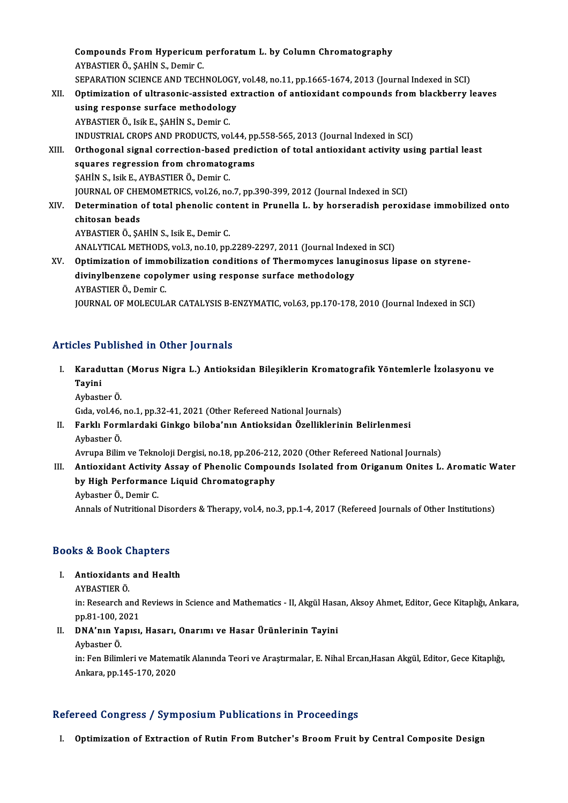Compounds From Hypericum perforatum L. by Column Chromatography AYBASTIERÖ.,ŞAHİNS.,Demir C. Compounds From Hypericum perforatum L. by Column Chromatography<br>AYBASTIER Ö., ŞAHİN S., Demir C.<br>SEPARATION SCIENCE AND TECHNOLOGY, vol.48, no.11, pp.1665-1674, 2013 (Journal Indexed in SCI)<br>Ontimization of ultresonis assi XII. Optimization of ultrasonic-assisted extraction of antioxidant compounds from blackberry leaves using response surface methodology SEPARATION SCIENCE AND TECHNOLOGY<br>Optimization of ultrasonic-assisted ex<br>using response surface methodology<br>AVPASTIER Ö, Jeik E, SAHİN S, Demir C AYBASTIERÖ., IsikE.,ŞAHİNS.,Demir C. using response surface methodology<br>AYBASTIER Ö., Isik E., ŞAHİN S., Demir C.<br>INDUSTRIAL CROPS AND PRODUCTS, vol.44, pp.558-565, 2013 (Journal Indexed in SCI)<br>Orthogonal signal sarrastian based prediction of tatal antioxida XIII. Orthogonal signal correction-based prediction of total antioxidant activity using partial least<br>squares regression from chromatograms INDUSTRIAL CROPS AND PRODUCTS, vol.44, pp<br>Orthogonal signal correction-based predi<br>squares regression from chromatograms<br>SAHIN S. Joil E. AVPASTIEP Ö. Domir C ŞAHİNS., IsikE.,AYBASTIERÖ.,Demir C. squares regression from chromatograms<br>ŞAHİN S., Isik E., AYBASTIER Ö., Demir C.<br>JOURNAL OF CHEMOMETRICS, vol.26, no.7, pp.390-399, 2012 (Journal Indexed in SCI)<br>Determination of total phonolis sentent in Puunelle L. by hor XIV. Determination of total phenolic content in Prunella L. by horseradish peroxidase immobilized onto<br>chitosan beads **JOURNAL OF CHE**<br>Determination<br>chitosan beads<br>AVRASTIER Ö. SA AYBASTIERÖ.,ŞAHİNS., IsikE.,Demir C. chitosan beads<br>AYBASTIER Ö., ŞAHİN S., Isik E., Demir C.<br>ANALYTICAL METHODS, vol.3, no.10, pp.2289-2297, 2011 (Journal Indexed in SCI)<br>Ontimization of immobilization conditions of Thormomyses lanuginesus li XV. Optimization of immobilization conditions of Thermomyces lanuginosus lipase on styrene-ANALYTICAL METHODS, vol.3, no.10, pp.2289-2297, 2011 (Journal Index<br>Optimization of immobilization conditions of Thermomyces lanua<br>divinylbenzene copolymer using response surface methodology<br>AYRASTIER Ö. DominG divinylbenzene copolymer using response surface methodology<br>AYBASTIER Ö., Demir C.

JOURNAL OF MOLECULAR CATALYSIS B-ENZYMATIC, vol.63, pp.170-178, 2010 (Journal Indexed in SCI)

### Articles Published in Other Journals

rticles Published in Other Journals<br>I. Karaduttan (Morus Nigra L.) Antioksidan Bileşiklerin Kromatografik Yöntemlerle İzolasyonu ve<br>Tavini too 1<br>Karadı<br>Tayini Karaduttan<br>Tayini<br>Aybastıer Ö.<br>Gıda val 46 Tayini<br>Aybastıer Ö.<br>Gıda, vol.46, no.1, pp.32-41, 2021 (Other Refereed National Journals)<br>Farklı Fermlandaki Ginkse bilebe'nın Antioksiden Özelliklerin

Aybastıer Ö.<br>Gıda, vol.46, no.1, pp.32-41, 2021 (Other Refereed National Journals)<br>II. Farklı Formlardaki Ginkgo biloba'nın Antioksidan Özelliklerinin Belirlenmesi<br>Aybastıer Ö. Gıda, vol.46,<br>**Farklı Forn**<br>Aybastıer Ö.<br>Ayruna Bilin Farklı Formlardaki Ginkgo biloba'nın Antioksidan Özelliklerinin Belirlenmesi<br>Aybastıer Ö.<br>Avrupa Bilim ve Teknoloji Dergisi, no.18, pp.206-212, 2020 (Other Refereed National Journals)<br>Antioxidant Astivity Assey of Phanolis

Aybastıer Ö.<br>Avrupa Bilim ve Teknoloji Dergisi, no.18, pp.206-212, 2020 (Other Refereed National Journals)<br>III. Antioxidant Activity Assay of Phenolic Compounds Isolated from Origanum Onites L. Aromatic Water<br>by High P Avrupa Bilim ve Teknoloji Dergisi, no.18, pp.206-212<br>Antioxidant Activity Assay of Phenolic Compol<br>by High Performance Liquid Chromatography<br>Aybester Ö. Demir C Antioxidant Activity<br>by High Performan<br>Aybastıer Ö., Demir C.<br>Annala of Nutritional I by High Performance Liquid Chromatography<br>Aybastier Ö., Demir C.<br>Annals of Nutritional Disorders & Therapy, vol.4, no.3, pp.1-4, 2017 (Refereed Journals of Other Institutions)

# Annais or Nutritional Disc<br>Books & Book Chapters **OOKS & BOOK Chapters<br>I. Antioxidants and Health<br>AVPASTIEP Ö**

I. Antioxidants and Health<br>AYBASTIER Ö.

in: Research and Reviews in Science and Mathematics - II, Akgül Hasan, Aksoy Ahmet, Editor, Gece Kitaplığı, Ankara, pp.81-100,2021 in: Research and Reviews in Science and Mathematics - II, Akgül Hasar<br>pp.81-100, 2021<br>II. DNA'nın Yapısı, Hasarı, Onarımı ve Hasar Ürünlerinin Tayini

# pp.81-100, 2<br><mark>DNA'nın Ya</mark><br>Aybastıer Ö.<br>in: Eon Bilim

Aybastıer Ö.<br>in: Fen Bilimleri ve Matematik Alanında Teori ve Araştırmalar, E. Nihal Ercan,Hasan Akgül, Editor, Gece Kitaplığı, Ankara,pp.145-170,2020

### Refereed Congress / Symposium Publications in Proceedings

I. Optimization of Extraction of Rutin From Butcher's Broom Fruit by Central Composite Design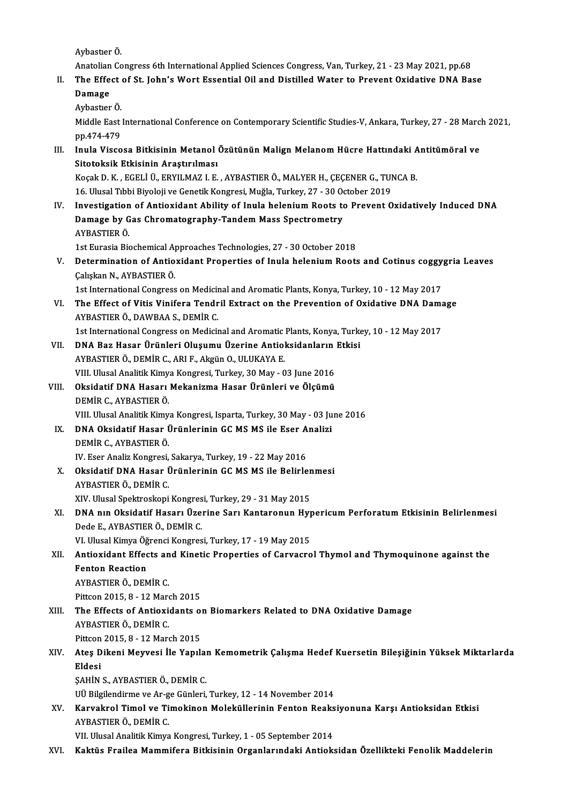AybastıerÖ.

Anatolian Congress 6th International Applied Sciences Congress, Van, Turkey, 21 - 23 May 2021, pp.68

- Aybastıer Ö.<br>Anatolian Congress 6th International Applied Sciences Congress, Van, Turkey, 21 23 May 2021, pp.68<br>II. The Effect of St. John's Wort Essential Oil and Distilled Water to Prevent Oxidative DNA Base<br>Damage
	- Anatolian<br>The Effe<br>Damage<br>Arbastan The Effect<br>Damage<br>Aybastıer Ö.<br>Middle Fest

Damage<br>Aybastıer Ö.<br>Middle East International Conference on Contemporary Scientific Studies-V, Ankara, Turkey, 27 - 28 March 2021, Aybastier Ö.<br>Middle East<br>pp.474-479<br>Inula Visse Middle East International Conference on Contemporary Scientific Studies-V, Ankara, Turkey, 27 - 28 Marc<br>pp.474-479<br>III. Inula Viscosa Bitkisinin Metanol Özütünün Malign Melanom Hücre Hattındaki Antitümöral ve<br>Sitateksik Et

pp.474-479<br>Inula Viscosa Bitkisinin Metanol<br>Sitotoksik Etkisinin Araştırılması<br>Kosak D. K., ECELLÜ, EPVILMAZ L.E. Inula Viscosa Bitkisinin Metanol Özütünün Malign Melanom Hücre Hattındaki A<br>Sitotoksik Etkisinin Araştırılması<br>Koçak D. K., EGELİ Ü., ERYILMAZ I. E., AYBASTIER Ö., MALYER H., ÇEÇENER G., TUNCA B.<br>16 Illyaal Tıbbi Biyalaji Sitotoksik Etkisinin Araştırılması<br>Koçak D. K., EGELİ Ü., ERYILMAZ I. E. , AYBASTIER Ö., MALYER H., ÇEÇENER G., TUNCA B.

IV. Investigation of Antioxidant Ability of Inula helenium Roots to Prevent Oxidatively Induced DNA 16. Ulusal Tıbbi Biyoloji ve Genetik Kongresi, Muğla, Turkey, 27 - 30 October 2019<br>Investigation of Antioxidant Ability of Inula helenium Roots to Prevent (<br>Damage by Gas Chromatography-Tandem Mass Spectrometry<br>AYBASTIER Ö Damage by Gas Chromatography-Tandem Mass Spectrometry Damage by Gas Chromatography-Tandem Mass Spectrometry<br>AYBASTIER Ö.<br>1st Eurasia Biochemical Approaches Technologies, 27 - 30 October 2018<br>Determination of Antiovident Properties of Inula belenium Boota

AYBASTIER Ö.<br>1st Eurasia Biochemical Approaches Technologies, 27 - 30 October 2018<br>V. Determination of Antioxidant Properties of Inula helenium Roots and Cotinus coggygria Leaves<br>Cokekan N. AVPASTIER Ö. 1st Eurasia Biochemical A<br>Determination of Antio<br>Çalışkan N., AYBASTIER Ö.<br>1st International Congress Determination of Antioxidant Properties of Inula helenium Roots and Cotinus coggy<br>Calışkan N., AYBASTIER Ö.<br>1st International Congress on Medicinal and Aromatic Plants, Konya, Turkey, 10 - 12 May 2017<br>The Effect of Vitia V

Calışkan N., AYBASTIER Ö.<br>1st International Congress on Medicinal and Aromatic Plants, Konya, Turkey, 10 - 12 May 2017<br>1990 - AVBASTIER Ö. DAWBAA S. DEMİR C 1st International Congress on Medicinal and Aromatic Plants, Konya, Turkey, 10 - 12 May 2017<br>The Effect of Vitis Vinifera Tendril Extract on the Prevention of Oxidative DNA Dam<br>AYBASTIER Ö., DAWBAA S., DEMİR C.<br>1st Interna The Effect of Vitis Vinifera Tendril Extract on the Prevention of Oxidative DNA Dama<br>AYBASTIER Ö., DAWBAA S., DEMİR C.<br>1st International Congress on Medicinal and Aromatic Plants, Konya, Turkey, 10 - 12 May 2017<br>DNA Bar Ha

- VII. DNA Baz Hasar Ürünleri Oluşumu Üzerine Antioksidanların Etkisi AYBASTIER Ö., DEMİR C., ARI F., Akgün O., ULUKAYA E. DNA Baz Hasar Ürünleri Oluşumu Üzerine Antioksidanların<br>AYBASTIER Ö., DEMİR C., ARI F., Akgün O., ULUKAYA E.<br>VIII. Ulusal Analitik Kimya Kongresi, Turkey, 30 May - 03 June 2016<br>Oksidatif DNA Hasarı Makanizma Hasar Ürünleri
- VIII. Oksidatif DNA Hasarı Mekanizma Hasar Ürünleri ve Ölçümü<br>DEMİR C., AYBASTIER Ö. VIII. Ulusal Analitik Kimy<br><mark>Oksidatif DNA Hasarı</mark><br>DEMİR C., AYBASTIER Ö.<br>VIII. Illusal Analitik Kimy DEMİR C., AYBASTIER Ö.<br>VIII. Ulusal Analitik Kimya Kongresi, Isparta, Turkey, 30 May - 03 Ju<br>IX. DNA Oksidatif Hasar Ürünlerinin GC MS MS ile Eser Analizi<br>DEMİR C. AYBASTIER Ö.

VIII. Ulusal Analitik Kimya Kongresi, Isparta, Turkey, 30 May - 03 June 2016

- VIII. Ulusal Analitik Kimy<br><mark>DNA Oksidatif Hasar (</mark><br>DEMİR C., AYBASTIER Ö.<br>W. Feer Analiz Konsuesi DNA Oksidatif Hasar Ürünlerinin GC MS MS ile Eser A<br>DEMİR C., AYBASTIER Ö.<br>IV. Eser Analiz Kongresi, Sakarya, Turkey, 19 - 22 May 2016<br>Oksidatif DNA Hasar Ürünlerinin GC MS MS ile Belirle DEMİR C., AYBASTIER Ö.<br>IV. Eser Analiz Kongresi, Sakarya, Turkey, 19 - 22 May 2016<br>X. Oksidatif DNA Hasar Ürünlerinin GC MS MS ile Belirlenmesi
- AYBASTIERÖ.,DEMİRC.

XIV. Ulusal Spektroskopi Kongresi, Turkey, 29 - 31 May 2015

AYBASTIER Ö., DEMİR C.<br>XIV. Ulusal Spektroskopi Kongresi, Turkey, 29 - 31 May 2015<br>XI. DNA nın Oksidatif Hasarı Üzerine Sarı Kantaronun Hypericum Perforatum Etkisinin Belirlenmesi<br>Dede E. AYPASTIER Ö. DEMİR C XIV. Ulusal Spektroskopi Kongres<br><mark>DNA nın Oksidatif Hasarı Üze</mark>:<br>Dede E., AYBASTIER Ö., DEMİR C.<br>VI. Ulusal Kimve Öğrensi Kongres DNA nın Oksidatif Hasarı Üzerine Sarı Kantaronun Hy<sub>l</sub><br>Dede E., AYBASTIER Ö., DEMİR C.<br>VI. Ulusal Kimya Öğrenci Kongresi, Turkey, 17 - 19 May 2015<br>Antiovidant Effects and Kinstis Properties of Carysare

## Dede E., AYBASTIER Ö., DEMIR C.<br>VI. Ulusal Kimya Öğrenci Kongresi, Turkey, 17 - 19 May 2015<br>XII. Antioxidant Effects and Kinetic Properties of Carvacrol Thymol and Thymoquinone against the<br>Fonton Beastion VI. Ulusal Kimya Öğrenci Kongresi, Turkey, 17 - 19 May 2015<br>Antioxidant Effects and Kinetic Properties of Carvacro<br>Fenton Reaction<br>AYBASTIER Ö., DEMİR C. Antioxidant Effects an<br>Fenton Reaction<br>AYBASTIER Ö., DEMİR C.<br><sup>Ditteon 2015-9-12 Mare</sub></sup>

Pittcon 2015, 8 - 12 March 2015

AYBASTIER Ö., DEMIR C.<br>Pittcon 2015, 8 - 12 March 2015<br>XIII. The Effects of Antioxidants on Biomarkers Related to DNA Oxidative Damage<br>AVRASTIER Ö. DEMIR C Pittcon 2015, 8 - 12 March<br>The Effects of Antioxic<br>AYBASTIER Ö., DEMİR C.<br>Pittcon 2015, 8 - 12 Marc The Effects of Antioxidants of<br>AYBASTIER Ö., DEMİR C.<br>Pittcon 2015, 8 - 12 March 2015<br>Ates Dikani Mewsesi İle Yanılı AYBASTIER Ö., DEMİR C.<br>Pittcon 2015, 8 - 12 March 2015<br>XIV. Ateş Dikeni Meyvesi İle Yapılan Kemometrik Çalışma Hedef Kuersetin Bileşiğinin Yüksek Miktarlarda<br>Fidesi

## Pittcon 2015, 8 - 12 March 2015<br>Ateş Dikeni Meyvesi İle Yapılaı<br>Eldesi<br>ŞAHİN S., AYBASTIER Ö., DEMİR C. Ateş Dikeni Meyvesi İle Yapılaı<br>Eldesi<br>ŞAHİN S., AYBASTIER Ö., DEMİR C.<br>III Bilgilandirma va Ar ge Günleri

UÜ Bilgilendirme ve Ar-ge Günleri, Turkey, 12 - 14 November 2014

ŞAHİN S., AYBASTIER Ö., DEMİR C.<br>UÜ Bilgilendirme ve Ar-ge Günleri, Turkey, 12 - 14 November 2014<br>XV. Karvakrol Timol ve Timokinon Moleküllerinin Fenton Reaksiyonuna Karşı Antioksidan Etkisi<br>AVPASTIER Ö. DEMİR C UÜ Bilgilendirme ve Ar-g<br><mark>Karvakrol Timol ve Ti</mark><br>AYBASTIER Ö., DEMİR C.<br>VII Hlusal Analitik Kimya Karvakrol Timol ve Timokinon Moleküllerinin Fenton Reaks<br>AYBASTIER Ö., DEMİR C.<br>VII. Ulusal Analitik Kimya Kongresi, Turkey, 1 - 05 September 2014<br>Kaktüs Exailea Mammifona Bitkisinin Oxsanlarındaki Antiakı AYBASTIER Ö., DEMİR C.<br>1997: VII. Ulusal Analitik Kimya Kongresi, Turkey, 1 - 05 September 2014<br>1997: Kaktüs Frailea Mammifera Bitkisinin Organlarındaki Antioksidan Özellikteki Fenolik Maddelerin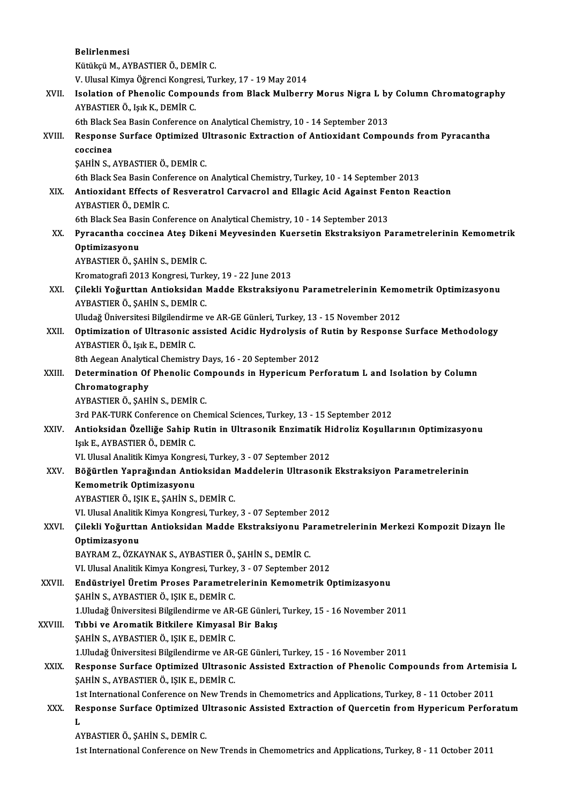|         | Belirlenmesi                                                                                             |
|---------|----------------------------------------------------------------------------------------------------------|
|         | Kütükçü M., AYBASTIER Ö., DEMİR C.<br>V. Ulusal Kimya Öğrenci Kongresi, Turkey, 17 - 19 May 2014         |
|         |                                                                                                          |
| XVII.   | Isolation of Phenolic Compounds from Black Mulberry Morus Nigra L by Column Chromatography               |
|         | AYBASTIER Ö., Işık K., DEMİR C.                                                                          |
|         | 6th Black Sea Basin Conference on Analytical Chemistry, 10 - 14 September 2013                           |
| XVIII.  | Response Surface Optimized Ultrasonic Extraction of Antioxidant Compounds from Pyracantha                |
|         | coccinea                                                                                                 |
|         | ŞAHİN S., AYBASTIER Ö., DEMİR C.                                                                         |
|         | 6th Black Sea Basin Conference on Analytical Chemistry, Turkey, 10 - 14 September 2013                   |
| XIX.    | Antioxidant Effects of Resveratrol Carvacrol and Ellagic Acid Against Fenton Reaction                    |
|         | AYBASTIER Ö., DEMİR C.                                                                                   |
|         | 6th Black Sea Basin Conference on Analytical Chemistry, 10 - 14 September 2013                           |
| XX.     | Pyracantha coccinea Ateş Dikeni Meyvesinden Kuersetin Ekstraksiyon Parametrelerinin Kemometrik           |
|         | Optimizasyonu                                                                                            |
|         | AYBASTIER Ö., ŞAHİN S., DEMİR C.                                                                         |
|         | Kromatografi 2013 Kongresi, Turkey, 19 - 22 June 2013                                                    |
| XXI.    | Çilekli Yoğurttan Antioksidan Madde Ekstraksiyonu Parametrelerinin Kemometrik Optimizasyonu              |
|         | AYBASTIER Ö., ŞAHİN S., DEMİR C.                                                                         |
|         | Uludağ Üniversitesi Bilgilendirme ve AR-GE Günleri, Turkey, 13 - 15 November 2012                        |
| XXII.   | Optimization of Ultrasonic assisted Acidic Hydrolysis of Rutin by Response Surface Methodology           |
|         | AYBASTIER Ö., Işık E., DEMİR C.                                                                          |
|         | 8th Aegean Analytical Chemistry Days, 16 - 20 September 2012                                             |
| XXIII.  | Determination Of Phenolic Compounds in Hypericum Perforatum L and Isolation by Column                    |
|         | Chromatography                                                                                           |
|         | AYBASTIER Ö., ŞAHİN S., DEMİR C.                                                                         |
|         | 3rd PAK-TURK Conference on Chemical Sciences, Turkey, 13 - 15 September 2012                             |
| XXIV.   | Antioksidan Özelliğe Sahip Rutin in Ultrasonik Enzimatik Hidroliz Koşullarının Optimizasyonu             |
|         | Işık E., AYBASTIER Ö., DEMİR C.                                                                          |
|         | VI. Ulusal Analitik Kimya Kongresi, Turkey, 3 - 07 September 2012                                        |
| XXV.    | Böğürtlen Yaprağından Antioksidan Maddelerin Ultrasonik Ekstraksiyon Parametrelerinin                    |
|         | Kemometrik Optimizasyonu                                                                                 |
|         | AYBASTIER Ö., IŞIK E., ŞAHİN S., DEMİR C.                                                                |
|         | VI. Ulusal Analitik Kimya Kongresi, Turkey, 3 - 07 September 2012                                        |
| XXVI.   | Çilekli Yoğurttan Antioksidan Madde Ekstraksiyonu Parametrelerinin Merkezi Kompozit Dizayn İle           |
|         | Optimizasyonu                                                                                            |
|         | BAYRAM Z., ÖZKAYNAK S., AYBASTIER Ö., ŞAHİN S., DEMİR C.                                                 |
|         | VI. Ulusal Analitik Kimya Kongresi, Turkey, 3 - 07 September 2012                                        |
| XXVII.  | Endüstriyel Üretim Proses Parametrelerinin Kemometrik Optimizasyonu                                      |
|         | ŞAHİN S., AYBASTIER Ö., IŞIK E., DEMİR C.                                                                |
|         | 1. Uludağ Üniversitesi Bilgilendirme ve AR-GE Günleri, Turkey, 15 - 16 November 2011                     |
| XXVIII. | Tıbbi ve Aromatik Bitkilere Kimyasal Bir Bakış                                                           |
|         | ŞAHİN S., AYBASTIER Ö., IŞIK E., DEMİR C.                                                                |
|         | 1. Uludağ Üniversitesi Bilgilendirme ve AR-GE Günleri, Turkey, 15 - 16 November 2011                     |
| XXIX.   | Response Surface Optimized Ultrasonic Assisted Extraction of Phenolic Compounds from Artemisia L         |
|         | ŞAHİN S., AYBASTIER Ö., IŞIK E., DEMİR C.                                                                |
|         | 1st International Conference on New Trends in Chemometrics and Applications, Turkey, 8 - 11 October 2011 |
| XXX.    | Response Surface Optimized Ultrasonic Assisted Extraction of Quercetin from Hypericum Perforatum         |
|         | L                                                                                                        |
|         | AYBASTIER Ö., ŞAHİN S., DEMİR C.                                                                         |
|         | 1st International Conference on New Trends in Chemometrics and Applications, Turkey, 8 - 11 October 2011 |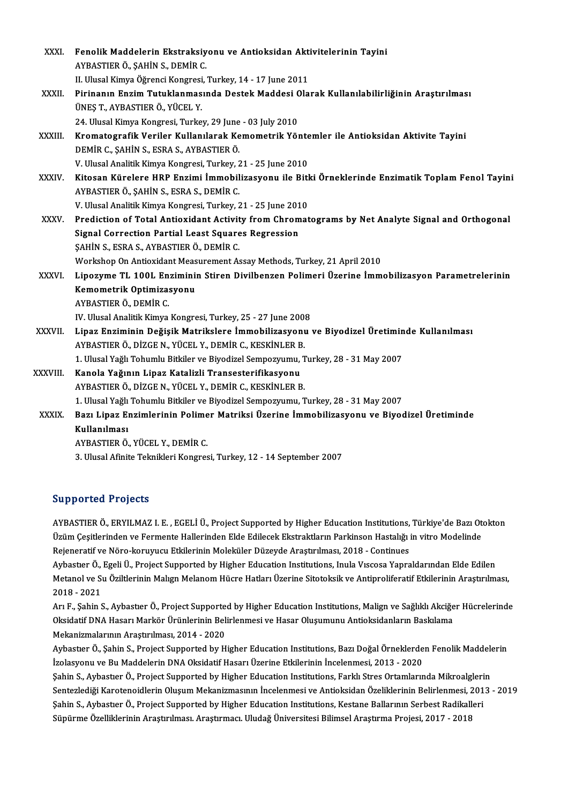| XXXI.        | Fenolik Maddelerin Ekstraksiyonu ve Antioksidan Aktivitelerinin Tayini                                                                        |
|--------------|-----------------------------------------------------------------------------------------------------------------------------------------------|
|              | AYBASTIER Ö., ŞAHİN S., DEMİR C.                                                                                                              |
|              | II. Ulusal Kimya Öğrenci Kongresi, Turkey, 14 - 17 June 2011                                                                                  |
| XXXII.       | Pirinanın Enzim Tutuklanmasında Destek Maddesi Olarak Kullanılabilirliğinin Araştırılması<br>ÜNEŞ T., AYBASTIER Ö., YÜCEL Y.                  |
|              | 24. Ulusal Kimya Kongresi, Turkey, 29 June - 03 July 2010                                                                                     |
| XXXIII.      | Kromatografik Veriler Kullanılarak Kemometrik Yöntemler ile Antioksidan Aktivite Tayini                                                       |
|              | DEMİR C., ŞAHİN S., ESRA S., AYBASTIER Ö.                                                                                                     |
|              | V. Ulusal Analitik Kimya Kongresi, Turkey, 21 - 25 June 2010                                                                                  |
| <b>XXXIV</b> | Kitosan Kürelere HRP Enzimi İmmobilizasyonu ile Bitki Örneklerinde Enzimatik Toplam Fenol Tayini<br>AYBASTIER Ö., ŞAHİN S., ESRA S., DEMİR C. |
|              | V. Ulusal Analitik Kimya Kongresi, Turkey, 21 - 25 June 2010                                                                                  |
| XXXV.        | Prediction of Total Antioxidant Activity from Chromatograms by Net Analyte Signal and Orthogonal                                              |
|              | <b>Signal Correction Partial Least Squares Regression</b>                                                                                     |
|              | ŞAHİN S., ESRA S., AYBASTIER Ö., DEMİR C.                                                                                                     |
|              | Workshop On Antioxidant Measurement Assay Methods, Turkey, 21 April 2010                                                                      |
| XXXVI.       | Lipozyme TL 100L Enziminin Stiren Divilbenzen Polimeri Üzerine İmmobilizasyon Parametrelerinin                                                |
|              | Kemometrik Optimizasyonu                                                                                                                      |
|              | AYBASTIER Ö., DEMİR C.                                                                                                                        |
|              | IV. Ulusal Analitik Kimya Kongresi, Turkey, 25 - 27 June 2008                                                                                 |
| XXXVII.      | Lipaz Enziminin Değişik Matrikslere İmmobilizasyonu ve Biyodizel Üretiminde Kullanılması                                                      |
|              | AYBASTIER Ö., DİZGE N., YÜCEL Y., DEMİR C., KESKİNLER B.                                                                                      |
|              | 1. Ulusal Yağlı Tohumlu Bitkiler ve Biyodizel Sempozyumu, Turkey, 28 - 31 May 2007                                                            |
| XXXVIII.     | Kanola Yağının Lipaz Katalizli Transesterifikasyonu                                                                                           |
|              | AYBASTIER Ö., DİZGE N., YÜCEL Y., DEMİR C., KESKİNLER B.                                                                                      |
|              | 1. Ulusal Yağlı Tohumlu Bitkiler ve Biyodizel Sempozyumu, Turkey, 28 - 31 May 2007                                                            |
| <b>XXXIX</b> | Bazı Lipaz Enzimlerinin Polimer Matriksi Üzerine İmmobilizasyonu ve Biyodizel Üretiminde                                                      |
|              | Kullanılması                                                                                                                                  |
|              | AYBASTIER Ö., YÜCEL Y., DEMİR C.                                                                                                              |
|              | 3. Ulusal Afinite Teknikleri Kongresi, Turkey, 12 - 14 September 2007                                                                         |
|              |                                                                                                                                               |

### Supported Projects

Supported Projects<br>AYBASTIER Ö., ERYILMAZ I. E. , EGELİ Ü., Project Supported by Higher Education Institutions, Türkiye'de Bazı Otokton<br>Ürüm Cesitlerinden ve Fermente Hellerinden Elde Edilesek Ekstrektlerin Perkinsen Heste ULPPULUCA TIUJUUS<br>AYBASTIER Ö., ERYILMAZ I. E. , EGELİ Ü., Project Supported by Higher Education Institutions, Türkiye'de Bazı Ot<br>Üzüm Çeşitlerinden ve Fermente Hallerinden Elde Edilecek Ekstraktların Parkinson Hastalığı i AYBASTIER Ö., ERYILMAZ I. E. , EGELİ Ü., Project Supported by Higher Education Institutions,<br>Üzüm Çeşitlerinden ve Fermente Hallerinden Elde Edilecek Ekstraktların Parkinson Hastalığı i<br>Rejeneratif ve Nöro-koruyucu Etkiler Üzüm Çeşitlerinden ve Fermente Hallerinden Elde Edilecek Ekstraktların Parkinson Hastalığı in vitro Modelinde<br>Rejeneratif ve Nöro-koruyucu Etkilerinin Moleküler Düzeyde Araştırılması, 2018 - Continues<br>Aybastıer Ö., Egeli Ü Rejeneratif ve Nöro-koruyucu Etkilerinin Moleküler Düzeyde Araştırılması, 2018 - Continues<br>Aybastıer Ö., Egeli Ü., Project Supported by Higher Education Institutions, Inula Vıscosa Yapraldarından Elde Edilen<br>Metanol ve Su Aybastier Ö.,<br>Metanol ve Si<br>2018 - 2021<br>Ari E. Sabin S Metanol ve Su Öziltlerinin Malıgn Melanom Hücre Hatları Üzerine Sitotoksik ve Antiproliferatif Etkilerinin Araştırılması,<br>2018 - 2021<br>Arı F., Şahin S., Aybastıer Ö., Project Supported by Higher Education Institutions, Mali

2018 - 2021<br>Arı F., Şahin S., Aybastıer Ö., Project Supported by Higher Education Institutions, Malign ve Sağlıklı Akciğe<br>Oksidatif DNA Hasarı Markör Ürünlerinin Belirlenmesi ve Hasar Oluşumunu Antioksidanların Baskılama<br>M Arı F., Şahin S., Aybastıer Ö., Project Supporte<br>Oksidatif DNA Hasarı Markör Ürünlerinin Bel:<br>Mekanizmalarının Araştırılması, 2014 - 2020<br>Aybastıar Ö. Sahin S. Project Supported by H Oksidatif DNA Hasarı Markör Ürünlerinin Belirlenmesi ve Hasar Oluşumunu Antioksidanların Baskılama<br>Mekanizmalarının Araştırılması, 2014 - 2020<br>Aybastıer Ö., Şahin S., Project Supported by Higher Education Institutions, Baz

Mekanizmalarının Araştırılması, 2014 - 2020<br>Aybastıer Ö., Şahin S., Project Supported by Higher Education Institutions, Bazı Doğal Örneklerde<br>İzolasyonu ve Bu Maddelerin DNA Oksidatif Hasarı Üzerine Etkilerinin İncelenmesi Aybastıer Ö., Şahin S., Project Supported by Higher Education Institutions, Bazı Doğal Örneklerden Fenolik Maddele<br>İzolasyonu ve Bu Maddelerin DNA Oksidatif Hasarı Üzerine Etkilerinin İncelenmesi, 2013 - 2020<br>Şahin S., Ayb İzolasyonu ve Bu Maddelerin DNA Oksidatif Hasarı Üzerine Etkilerinin İncelenmesi, 2013 - 2020<br>Şahin S., Aybastıer Ö., Project Supported by Higher Education Institutions, Farklı Stres Ortamlarında Mikroalglerin<br>Sentezlediği Şahin S., Aybastıer Ö., Project Supported by Higher Education Institutions, Farklı Stres Ortamlarında Mikroalgleri<br>Sentezlediği Karotenoidlerin Oluşum Mekanizmasının İncelenmesi ve Antioksidan Özeliklerinin Belirlenmesi, 2 Sentezlediği Karotenoidlerin Oluşum Mekanizmasının İncelenmesi ve Antioksidan Özeliklerinin Belirlenmesi, 2<br>Şahin S., Aybastıer Ö., Project Supported by Higher Education Institutions, Kestane Ballarının Serbest Radikall<br>Sü